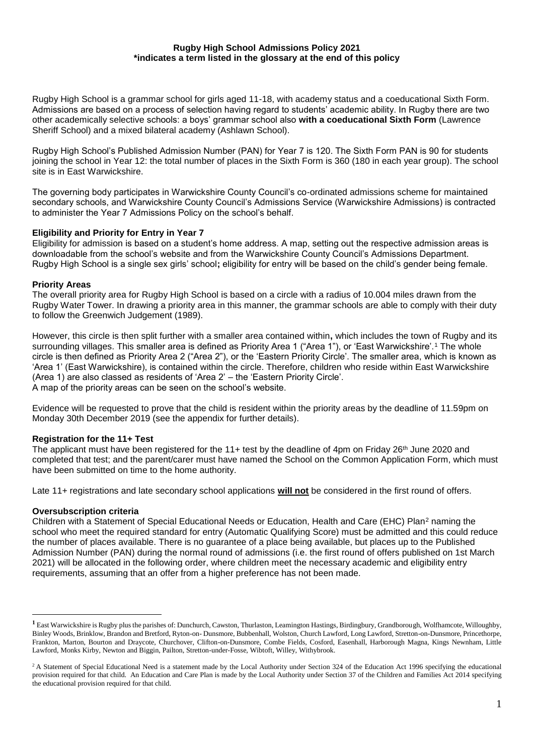#### **Rugby High School Admissions Policy 2021 \*indicates a term listed in the glossary at the end of this policy**

Rugby High School is a grammar school for girls aged 11-18, with academy status and a coeducational Sixth Form. Admissions are based on a process of selection having regard to students' academic ability. In Rugby there are two other academically selective schools: a boys' grammar school also **with a coeducational Sixth Form** (Lawrence Sheriff School) and a mixed bilateral academy (Ashlawn School).

Rugby High School's Published Admission Number (PAN) for Year 7 is 120. The Sixth Form PAN is 90 for students joining the school in Year 12: the total number of places in the Sixth Form is 360 (180 in each year group). The school site is in East Warwickshire.

The governing body participates in Warwickshire County Council's co-ordinated admissions scheme for maintained secondary schools, and Warwickshire County Council's Admissions Service (Warwickshire Admissions) is contracted to administer the Year 7 Admissions Policy on the school's behalf.

## **Eligibility and Priority for Entry in Year 7**

Eligibility for admission is based on a student's home address. A map, setting out the respective admission areas is downloadable from the school's website and from the Warwickshire County Council's Admissions Department. Rugby High School is a single sex girls' school**;** eligibility for entry will be based on the child's gender being female.

### **Priority Areas**

The overall priority area for Rugby High School is based on a circle with a radius of 10.004 miles drawn from the Rugby Water Tower. In drawing a priority area in this manner, the grammar schools are able to comply with their duty to follow the Greenwich Judgement (1989).

However, this circle is then split further with a smaller area contained within**,** which includes the town of Rugby and its surrounding villages. This smaller area is defined as Priority Area 1 ("Area 1"), or 'East Warwickshire'.<sup>1</sup> The whole circle is then defined as Priority Area 2 ("Area 2"), or the 'Eastern Priority Circle'. The smaller area, which is known as 'Area 1' (East Warwickshire), is contained within the circle. Therefore, children who reside within East Warwickshire (Area 1) are also classed as residents of 'Area 2' – the 'Eastern Priority Circle'. A map of the priority areas can be seen on the school's website.

Evidence will be requested to prove that the child is resident within the priority areas by the deadline of 11.59pm on Monday 30th December 2019 (see the appendix for further details).

#### **Registration for the 11+ Test**

The applicant must have been registered for the 11+ test by the deadline of 4pm on Friday 26<sup>th</sup> June 2020 and completed that test; and the parent/carer must have named the School on the Common Application Form, which must have been submitted on time to the home authority.

Late 11+ registrations and late secondary school applications **will not** be considered in the first round of offers.

#### **Oversubscription criteria**

1

Children with a Statement of Special Educational Needs or Education, Health and Care (EHC) Plan<sup>2</sup> naming the school who meet the required standard for entry (Automatic Qualifying Score) must be admitted and this could reduce the number of places available. There is no guarantee of a place being available, but places up to the Published Admission Number (PAN) during the normal round of admissions (i.e. the first round of offers published on 1st March 2021) will be allocated in the following order, where children meet the necessary academic and eligibility entry requirements, assuming that an offer from a higher preference has not been made.

**<sup>1</sup>** East Warwickshire is Rugby plus the parishes of: Dunchurch, Cawston, Thurlaston, Leamington Hastings, Birdingbury, Grandborough, Wolfhamcote, Willoughby, Binley Woods, Brinklow, Brandon and Bretford, Ryton-on- Dunsmore, Bubbenhall, Wolston, Church Lawford, Long Lawford, Stretton-on-Dunsmore, Princethorpe, Frankton, Marton, Bourton and Draycote, Churchover, Clifton-on-Dunsmore, Combe Fields, Cosford, Easenhall, Harborough Magna, Kings Newnham, Little Lawford, Monks Kirby, Newton and Biggin, Pailton, Stretton-under-Fosse, Wibtoft, Willey, Withybrook.

<sup>&</sup>lt;sup>2</sup>A Statement of Special Educational Need is a statement made by the Local Authority under Section 324 of the Education Act 1996 specifying the educational provision required for that child. An Education and Care Plan is made by the Local Authority under Section 37 of the Children and Families Act 2014 specifying the educational provision required for that child.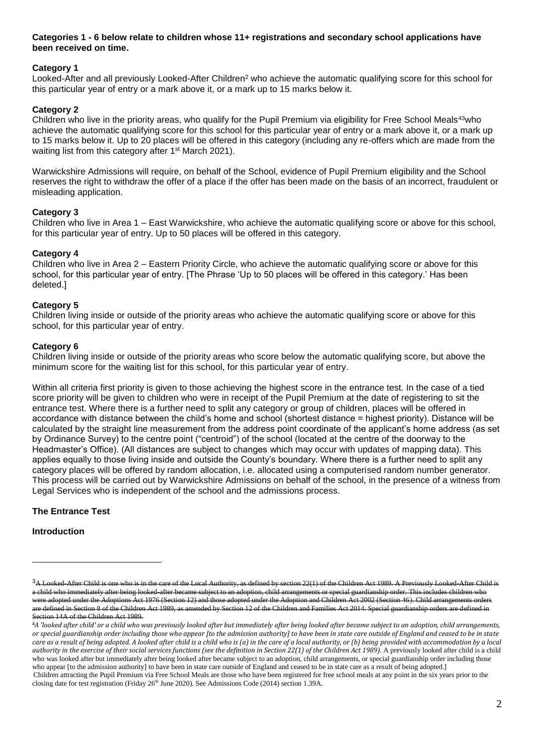## **Categories 1 - 6 below relate to children whose 11+ registrations and secondary school applications have been received on time.**

# **Category 1**

Looked-After and all previously Looked-After Children<sup>2</sup> who achieve the automatic qualifying score for this school for this particular year of entry or a mark above it, or a mark up to 15 marks below it.

# **Category 2**

Children who live in the priority areas, who qualify for the Pupil Premium via eligibility for Free School Meals<sup>43</sup>who achieve the automatic qualifying score for this school for this particular year of entry or a mark above it, or a mark up to 15 marks below it. Up to 20 places will be offered in this category (including any re-offers which are made from the waiting list from this category after 1<sup>st</sup> March 2021).

Warwickshire Admissions will require, on behalf of the School, evidence of Pupil Premium eligibility and the School reserves the right to withdraw the offer of a place if the offer has been made on the basis of an incorrect, fraudulent or misleading application.

## **Category 3**

Children who live in Area 1 – East Warwickshire, who achieve the automatic qualifying score or above for this school, for this particular year of entry. Up to 50 places will be offered in this category.

### **Category 4**

Children who live in Area 2 – Eastern Priority Circle, who achieve the automatic qualifying score or above for this school, for this particular year of entry. [The Phrase 'Up to 50 places will be offered in this category.' Has been deleted.]

### **Category 5**

Children living inside or outside of the priority areas who achieve the automatic qualifying score or above for this school, for this particular year of entry.

### **Category 6**

Children living inside or outside of the priority areas who score below the automatic qualifying score, but above the minimum score for the waiting list for this school, for this particular year of entry.

Within all criteria first priority is given to those achieving the highest score in the entrance test. In the case of a tied score priority will be given to children who were in receipt of the Pupil Premium at the date of registering to sit the entrance test. Where there is a further need to split any category or group of children, places will be offered in accordance with distance between the child's home and school (shortest distance = highest priority). Distance will be calculated by the straight line measurement from the address point coordinate of the applicant's home address (as set by Ordinance Survey) to the centre point ("centroid") of the school (located at the centre of the doorway to the Headmaster's Office). (All distances are subject to changes which may occur with updates of mapping data). This applies equally to those living inside and outside the County's boundary. Where there is a further need to split any category places will be offered by random allocation, i.e. allocated using a computerised random number generator. This process will be carried out by Warwickshire Admissions on behalf of the school, in the presence of a witness from Legal Services who is independent of the school and the admissions process.

## **The Entrance Test**

#### **Introduction**

1

<sup>&</sup>lt;sup>3</sup>A Looked-After Child is one who is in the care of the Local Authority, as defined by section 22(1) of the Children Act 1989. A Previously Looked-After Child a child who immediately after being looked-after became subject to an adoption, child arrangements or special guardianship order. This includes children who were adopted under the Adoptions Act 1976 (Section 12) and those adopted under the Adoption and Children Act 2002 (Section 46). Child arrangements orders are defined in Section 8 of the Children Act 1989, as amended by Section 12 of the Children and Families Act 2014. Special guardianship orders are defined in Section 14A of the Children Act 1989.

<sup>&</sup>lt;sup>3</sup>A 'looked after child' or a child who was previously looked after but immediately after being looked after became subject to an adoption, child arrangements, *or special guardianship order including those who appear [to the admission authority] to have been in state care outside of England and ceased to be in state*  care as a result of being adopted. A looked after child is a child who is (a) in the care of a local authority, or (b) being provided with accommodation by a local *authority in the exercise of their social services functions (see the definition in Section 22(1) of the Children Act 1989).* A previously looked after child is a child who was looked after but immediately after being looked after became subject to an adoption, child arrangements, or special guardianship order including those who appear [to the admission authority] to have been in state care outside of England and ceased to be in state care as a result of being adopted.] Children attracting the Pupil Premium via Free School Meals are those who have been registered for free school meals at any point in the six years prior to the closing date for test registration (Friday  $26<sup>th</sup>$  June 2020). See Admissions Code (2014) section 1.39A.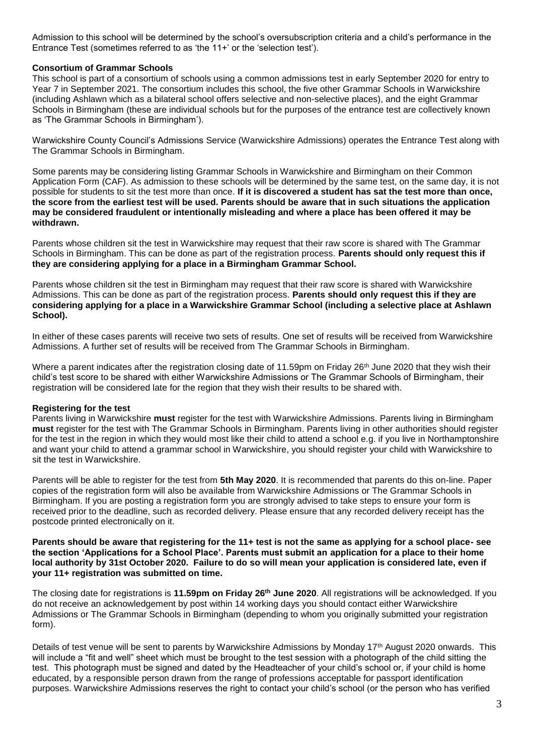Admission to this school will be determined by the school's oversubscription criteria and a child's performance in the Entrance Test (sometimes referred to as 'the 11+' or the 'selection test').

### **Consortium of Grammar Schools**

This school is part of a consortium of schools using a common admissions test in early September 2020 for entry to Year 7 in September 2021. The consortium includes this school, the five other Grammar Schools in Warwickshire (including Ashlawn which as a bilateral school offers selective and non-selective places), and the eight Grammar Schools in Birmingham (these are individual schools but for the purposes of the entrance test are collectively known as 'The Grammar Schools in Birmingham').

Warwickshire County Council's Admissions Service (Warwickshire Admissions) operates the Entrance Test along with The Grammar Schools in Birmingham.

Some parents may be considering listing Grammar Schools in Warwickshire and Birmingham on their Common Application Form (CAF). As admission to these schools will be determined by the same test, on the same day, it is not possible for students to sit the test more than once. **If it is discovered a student has sat the test more than once, the score from the earliest test will be used. Parents should be aware that in such situations the application may be considered fraudulent or intentionally misleading and where a place has been offered it may be withdrawn.**

Parents whose children sit the test in Warwickshire may request that their raw score is shared with The Grammar Schools in Birmingham. This can be done as part of the registration process. **Parents should only request this if they are considering applying for a place in a Birmingham Grammar School.** 

Parents whose children sit the test in Birmingham may request that their raw score is shared with Warwickshire Admissions. This can be done as part of the registration process. **Parents should only request this if they are considering applying for a place in a Warwickshire Grammar School (including a selective place at Ashlawn School).**

In either of these cases parents will receive two sets of results. One set of results will be received from Warwickshire Admissions. A further set of results will be received from The Grammar Schools in Birmingham.

Where a parent indicates after the registration closing date of 11.59pm on Friday 26<sup>th</sup> June 2020 that they wish their child's test score to be shared with either Warwickshire Admissions or The Grammar Schools of Birmingham, their registration will be considered late for the region that they wish their results to be shared with.

#### **Registering for the test**

Parents living in Warwickshire **must** register for the test with Warwickshire Admissions. Parents living in Birmingham **must** register for the test with The Grammar Schools in Birmingham. Parents living in other authorities should register for the test in the region in which they would most like their child to attend a school e.g. if you live in Northamptonshire and want your child to attend a grammar school in Warwickshire, you should register your child with Warwickshire to sit the test in Warwickshire.

Parents will be able to register for the test from **5th May 2020**. It is recommended that parents do this on-line. Paper copies of the registration form will also be available from Warwickshire Admissions or The Grammar Schools in Birmingham. If you are posting a registration form you are strongly advised to take steps to ensure your form is received prior to the deadline, such as recorded delivery. Please ensure that any recorded delivery receipt has the postcode printed electronically on it.

**Parents should be aware that registering for the 11+ test is not the same as applying for a school place- see the section 'Applications for a School Place'. Parents must submit an application for a place to their home local authority by 31st October 2020. Failure to do so will mean your application is considered late, even if your 11+ registration was submitted on time.**

The closing date for registrations is **11.59pm on Friday 26th June 2020**. All registrations will be acknowledged. If you do not receive an acknowledgement by post within 14 working days you should contact either Warwickshire Admissions or The Grammar Schools in Birmingham (depending to whom you originally submitted your registration form).

Details of test venue will be sent to parents by Warwickshire Admissions by Monday 17<sup>th</sup> August 2020 onwards. This will include a "fit and well" sheet which must be brought to the test session with a photograph of the child sitting the test. This photograph must be signed and dated by the Headteacher of your child's school or, if your child is home educated, by a responsible person drawn from the range of professions acceptable for passport identification purposes. Warwickshire Admissions reserves the right to contact your child's school (or the person who has verified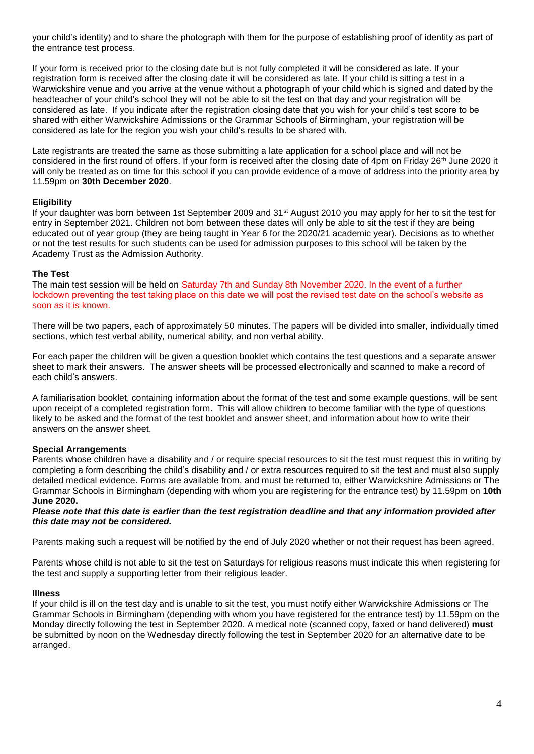your child's identity) and to share the photograph with them for the purpose of establishing proof of identity as part of the entrance test process.

If your form is received prior to the closing date but is not fully completed it will be considered as late. If your registration form is received after the closing date it will be considered as late. If your child is sitting a test in a Warwickshire venue and you arrive at the venue without a photograph of your child which is signed and dated by the headteacher of your child's school they will not be able to sit the test on that day and your registration will be considered as late. If you indicate after the registration closing date that you wish for your child's test score to be shared with either Warwickshire Admissions or the Grammar Schools of Birmingham, your registration will be considered as late for the region you wish your child's results to be shared with.

Late registrants are treated the same as those submitting a late application for a school place and will not be considered in the first round of offers. If your form is received after the closing date of 4pm on Friday 26<sup>th</sup> June 2020 it will only be treated as on time for this school if you can provide evidence of a move of address into the priority area by 11.59pm on **30th December 2020**.

### **Eligibility**

If your daughter was born between 1st September 2009 and 31st August 2010 you may apply for her to sit the test for entry in September 2021. Children not born between these dates will only be able to sit the test if they are being educated out of year group (they are being taught in Year 6 for the 2020/21 academic year). Decisions as to whether or not the test results for such students can be used for admission purposes to this school will be taken by the Academy Trust as the Admission Authority.

### **The Test**

The main test session will be held on Saturday 7th and Sunday 8th November 2020. In the event of a further lockdown preventing the test taking place on this date we will post the revised test date on the school's website as soon as it is known.

There will be two papers, each of approximately 50 minutes. The papers will be divided into smaller, individually timed sections, which test verbal ability, numerical ability, and non verbal ability.

For each paper the children will be given a question booklet which contains the test questions and a separate answer sheet to mark their answers. The answer sheets will be processed electronically and scanned to make a record of each child's answers.

A familiarisation booklet, containing information about the format of the test and some example questions, will be sent upon receipt of a completed registration form. This will allow children to become familiar with the type of questions likely to be asked and the format of the test booklet and answer sheet, and information about how to write their answers on the answer sheet.

#### **Special Arrangements**

Parents whose children have a disability and / or require special resources to sit the test must request this in writing by completing a form describing the child's disability and / or extra resources required to sit the test and must also supply detailed medical evidence. Forms are available from, and must be returned to, either Warwickshire Admissions or The Grammar Schools in Birmingham (depending with whom you are registering for the entrance test) by 11.59pm on **10th June 2020.**

*Please note that this date is earlier than the test registration deadline and that any information provided after this date may not be considered.*

Parents making such a request will be notified by the end of July 2020 whether or not their request has been agreed.

Parents whose child is not able to sit the test on Saturdays for religious reasons must indicate this when registering for the test and supply a supporting letter from their religious leader.

#### **Illness**

If your child is ill on the test day and is unable to sit the test, you must notify either Warwickshire Admissions or The Grammar Schools in Birmingham (depending with whom you have registered for the entrance test) by 11.59pm on the Monday directly following the test in September 2020. A medical note (scanned copy, faxed or hand delivered) **must**  be submitted by noon on the Wednesday directly following the test in September 2020 for an alternative date to be arranged.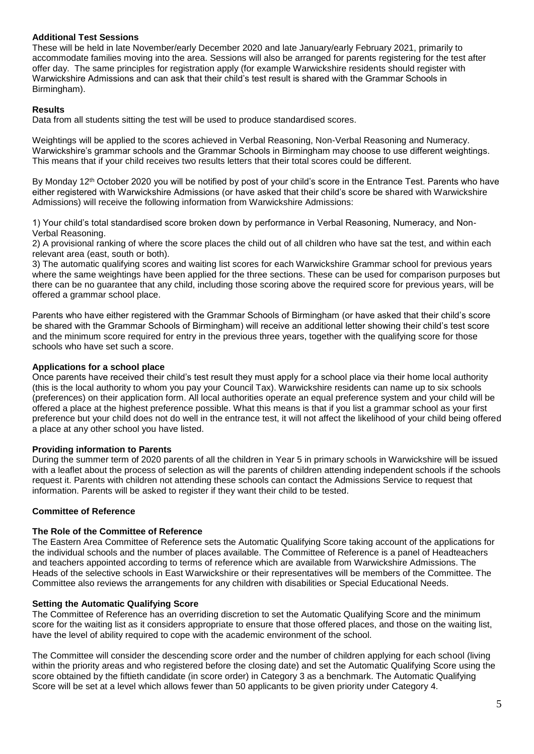# **Additional Test Sessions**

These will be held in late November/early December 2020 and late January/early February 2021, primarily to accommodate families moving into the area. Sessions will also be arranged for parents registering for the test after offer day. The same principles for registration apply (for example Warwickshire residents should register with Warwickshire Admissions and can ask that their child's test result is shared with the Grammar Schools in Birmingham).

# **Results**

Data from all students sitting the test will be used to produce standardised scores.

Weightings will be applied to the scores achieved in Verbal Reasoning, Non-Verbal Reasoning and Numeracy. Warwickshire's grammar schools and the Grammar Schools in Birmingham may choose to use different weightings. This means that if your child receives two results letters that their total scores could be different.

By Monday 12<sup>th</sup> October 2020 you will be notified by post of your child's score in the Entrance Test. Parents who have either registered with Warwickshire Admissions (or have asked that their child's score be shared with Warwickshire Admissions) will receive the following information from Warwickshire Admissions:

1) Your child's total standardised score broken down by performance in Verbal Reasoning, Numeracy, and Non-Verbal Reasoning.

2) A provisional ranking of where the score places the child out of all children who have sat the test, and within each relevant area (east, south or both).

3) The automatic qualifying scores and waiting list scores for each Warwickshire Grammar school for previous years where the same weightings have been applied for the three sections. These can be used for comparison purposes but there can be no guarantee that any child, including those scoring above the required score for previous years, will be offered a grammar school place.

Parents who have either registered with the Grammar Schools of Birmingham (or have asked that their child's score be shared with the Grammar Schools of Birmingham) will receive an additional letter showing their child's test score and the minimum score required for entry in the previous three years, together with the qualifying score for those schools who have set such a score.

# **Applications for a school place**

Once parents have received their child's test result they must apply for a school place via their home local authority (this is the local authority to whom you pay your Council Tax). Warwickshire residents can name up to six schools (preferences) on their application form. All local authorities operate an equal preference system and your child will be offered a place at the highest preference possible. What this means is that if you list a grammar school as your first preference but your child does not do well in the entrance test, it will not affect the likelihood of your child being offered a place at any other school you have listed.

## **Providing information to Parents**

During the summer term of 2020 parents of all the children in Year 5 in primary schools in Warwickshire will be issued with a leaflet about the process of selection as will the parents of children attending independent schools if the schools request it. Parents with children not attending these schools can contact the Admissions Service to request that information. Parents will be asked to register if they want their child to be tested.

# **Committee of Reference**

## **The Role of the Committee of Reference**

The Eastern Area Committee of Reference sets the Automatic Qualifying Score taking account of the applications for the individual schools and the number of places available. The Committee of Reference is a panel of Headteachers and teachers appointed according to terms of reference which are available from Warwickshire Admissions. The Heads of the selective schools in East Warwickshire or their representatives will be members of the Committee. The Committee also reviews the arrangements for any children with disabilities or Special Educational Needs.

## **Setting the Automatic Qualifying Score**

The Committee of Reference has an overriding discretion to set the Automatic Qualifying Score and the minimum score for the waiting list as it considers appropriate to ensure that those offered places, and those on the waiting list, have the level of ability required to cope with the academic environment of the school.

The Committee will consider the descending score order and the number of children applying for each school (living within the priority areas and who registered before the closing date) and set the Automatic Qualifying Score using the score obtained by the fiftieth candidate (in score order) in Category 3 as a benchmark. The Automatic Qualifying Score will be set at a level which allows fewer than 50 applicants to be given priority under Category 4.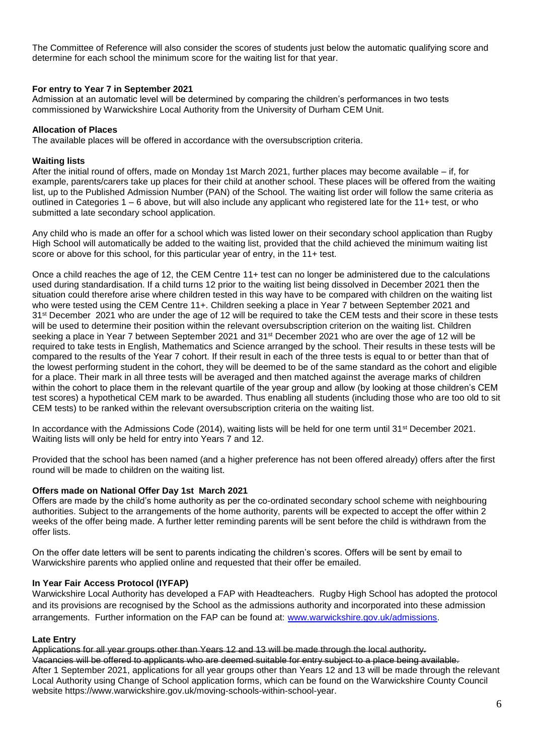The Committee of Reference will also consider the scores of students just below the automatic qualifying score and determine for each school the minimum score for the waiting list for that year.

### **For entry to Year 7 in September 2021**

Admission at an automatic level will be determined by comparing the children's performances in two tests commissioned by Warwickshire Local Authority from the University of Durham CEM Unit.

#### **Allocation of Places**

The available places will be offered in accordance with the oversubscription criteria.

#### **Waiting lists**

After the initial round of offers, made on Monday 1st March 2021, further places may become available – if, for example, parents/carers take up places for their child at another school. These places will be offered from the waiting list, up to the Published Admission Number (PAN) of the School. The waiting list order will follow the same criteria as outlined in Categories 1 – 6 above, but will also include any applicant who registered late for the 11+ test, or who submitted a late secondary school application.

Any child who is made an offer for a school which was listed lower on their secondary school application than Rugby High School will automatically be added to the waiting list, provided that the child achieved the minimum waiting list score or above for this school, for this particular year of entry, in the 11+ test.

Once a child reaches the age of 12, the CEM Centre 11+ test can no longer be administered due to the calculations used during standardisation. If a child turns 12 prior to the waiting list being dissolved in December 2021 then the situation could therefore arise where children tested in this way have to be compared with children on the waiting list who were tested using the CEM Centre 11+. Children seeking a place in Year 7 between September 2021 and 31<sup>st</sup> December 2021 who are under the age of 12 will be required to take the CEM tests and their score in these tests will be used to determine their position within the relevant oversubscription criterion on the waiting list. Children seeking a place in Year 7 between September 2021 and 31<sup>st</sup> December 2021 who are over the age of 12 will be required to take tests in English, Mathematics and Science arranged by the school. Their results in these tests will be compared to the results of the Year 7 cohort. If their result in each of the three tests is equal to or better than that of the lowest performing student in the cohort, they will be deemed to be of the same standard as the cohort and eligible for a place. Their mark in all three tests will be averaged and then matched against the average marks of children within the cohort to place them in the relevant quartile of the year group and allow (by looking at those children's CEM test scores) a hypothetical CEM mark to be awarded. Thus enabling all students (including those who are too old to sit CEM tests) to be ranked within the relevant oversubscription criteria on the waiting list.

In accordance with the Admissions Code (2014), waiting lists will be held for one term until 31<sup>st</sup> December 2021. Waiting lists will only be held for entry into Years 7 and 12.

Provided that the school has been named (and a higher preference has not been offered already) offers after the first round will be made to children on the waiting list.

#### **Offers made on National Offer Day 1st March 2021**

Offers are made by the child's home authority as per the co-ordinated secondary school scheme with neighbouring authorities. Subject to the arrangements of the home authority, parents will be expected to accept the offer within 2 weeks of the offer being made. A further letter reminding parents will be sent before the child is withdrawn from the offer lists.

On the offer date letters will be sent to parents indicating the children's scores. Offers will be sent by email to Warwickshire parents who applied online and requested that their offer be emailed.

## **In Year Fair Access Protocol (IYFAP)**

Warwickshire Local Authority has developed a FAP with Headteachers. Rugby High School has adopted the protocol and its provisions are recognised by the School as the admissions authority and incorporated into these admission arrangements. Further information on the FAP can be found at: [www.warwickshire.gov.uk/admissions.](http://www.warwickshire.gov.uk/admissions)

#### **Late Entry**

Applications for all year groups other than Years 12 and 13 will be made through the local authority. Vacancies will be offered to applicants who are deemed suitable for entry subject to a place being available. After 1 September 2021, applications for all year groups other than Years 12 and 13 will be made through the relevant Local Authority using Change of School application forms, which can be found on the Warwickshire County Council website https://www.warwickshire.gov.uk/moving-schools-within-school-year.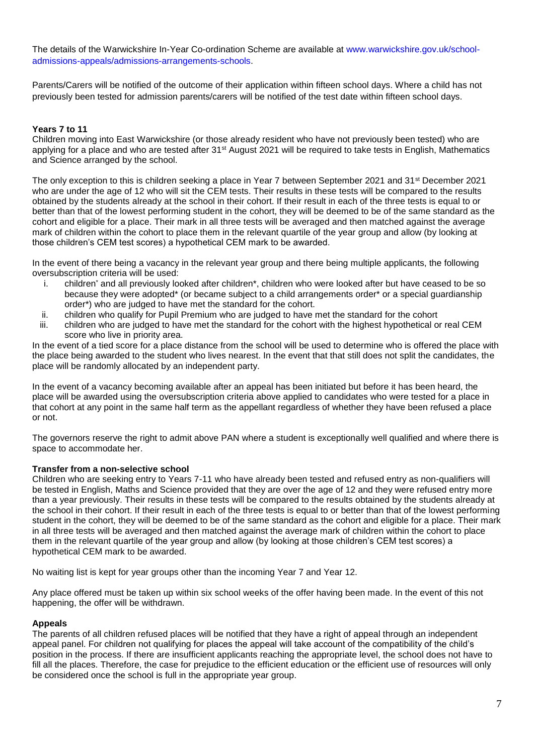The details of the Warwickshire In-Year Co-ordination Scheme are available at [www.warwickshire.gov.uk/school](http://www.warwickshire.gov.uk/school-admissions-appeals/admissions-arrangements-schools)[admissions-appeals/admissions-arrangements-schools.](http://www.warwickshire.gov.uk/school-admissions-appeals/admissions-arrangements-schools)

Parents/Carers will be notified of the outcome of their application within fifteen school days. Where a child has not previously been tested for admission parents/carers will be notified of the test date within fifteen school days.

# **Years 7 to 11**

Children moving into East Warwickshire (or those already resident who have not previously been tested) who are applying for a place and who are tested after 31st August 2021 will be required to take tests in English, Mathematics and Science arranged by the school.

The only exception to this is children seeking a place in Year 7 between September 2021 and 31st December 2021 who are under the age of 12 who will sit the CEM tests. Their results in these tests will be compared to the results obtained by the students already at the school in their cohort. If their result in each of the three tests is equal to or better than that of the lowest performing student in the cohort, they will be deemed to be of the same standard as the cohort and eligible for a place. Their mark in all three tests will be averaged and then matched against the average mark of children within the cohort to place them in the relevant quartile of the year group and allow (by looking at those children's CEM test scores) a hypothetical CEM mark to be awarded.

In the event of there being a vacancy in the relevant year group and there being multiple applicants, the following oversubscription criteria will be used:

- i. children\* and all previously looked after children\*, children who were looked after but have ceased to be so because they were adopted\* (or became subject to a child arrangements order\* or a special guardianship order\*) who are judged to have met the standard for the cohort.
- ii. children who qualify for Pupil Premium who are judged to have met the standard for the cohort
- iii. children who are judged to have met the standard for the cohort with the highest hypothetical or real CEM score who live in priority area.

In the event of a tied score for a place distance from the school will be used to determine who is offered the place with the place being awarded to the student who lives nearest. In the event that that still does not split the candidates, the place will be randomly allocated by an independent party.

In the event of a vacancy becoming available after an appeal has been initiated but before it has been heard, the place will be awarded using the oversubscription criteria above applied to candidates who were tested for a place in that cohort at any point in the same half term as the appellant regardless of whether they have been refused a place or not.

The governors reserve the right to admit above PAN where a student is exceptionally well qualified and where there is space to accommodate her.

## **Transfer from a non-selective school**

Children who are seeking entry to Years 7-11 who have already been tested and refused entry as non-qualifiers will be tested in English, Maths and Science provided that they are over the age of 12 and they were refused entry more than a year previously. Their results in these tests will be compared to the results obtained by the students already at the school in their cohort. If their result in each of the three tests is equal to or better than that of the lowest performing student in the cohort, they will be deemed to be of the same standard as the cohort and eligible for a place. Their mark in all three tests will be averaged and then matched against the average mark of children within the cohort to place them in the relevant quartile of the year group and allow (by looking at those children's CEM test scores) a hypothetical CEM mark to be awarded.

No waiting list is kept for year groups other than the incoming Year 7 and Year 12.

Any place offered must be taken up within six school weeks of the offer having been made. In the event of this not happening, the offer will be withdrawn.

## **Appeals**

The parents of all children refused places will be notified that they have a right of appeal through an independent appeal panel. For children not qualifying for places the appeal will take account of the compatibility of the child's position in the process. If there are insufficient applicants reaching the appropriate level, the school does not have to fill all the places. Therefore, the case for prejudice to the efficient education or the efficient use of resources will only be considered once the school is full in the appropriate year group.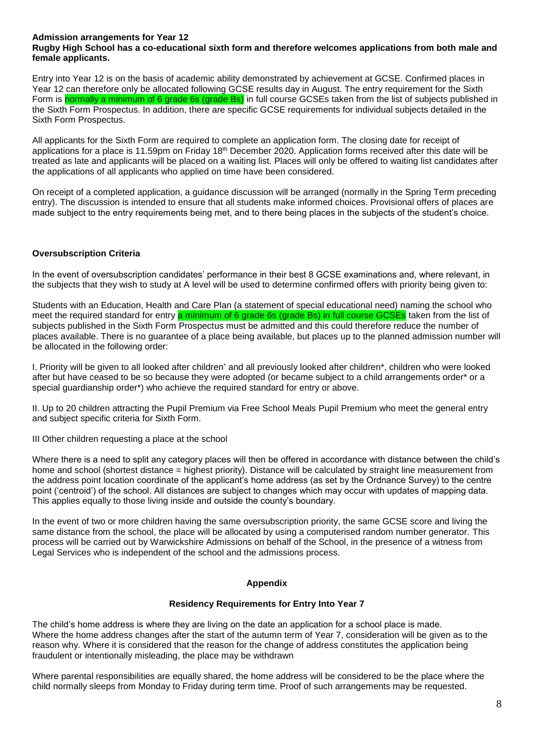### **Admission arrangements for Year 12**

### **Rugby High School has a co-educational sixth form and therefore welcomes applications from both male and female applicants.**

Entry into Year 12 is on the basis of academic ability demonstrated by achievement at GCSE. Confirmed places in Year 12 can therefore only be allocated following GCSE results day in August. The entry requirement for the Sixth Form is normally a minimum of 6 grade 6s (grade Bs) in full course GCSEs taken from the list of subjects published in the Sixth Form Prospectus. In addition, there are specific GCSE requirements for individual subjects detailed in the Sixth Form Prospectus.

All applicants for the Sixth Form are required to complete an application form. The closing date for receipt of applications for a place is 11.59pm on Friday 18th December 2020. Application forms received after this date will be treated as late and applicants will be placed on a waiting list. Places will only be offered to waiting list candidates after the applications of all applicants who applied on time have been considered.

On receipt of a completed application, a guidance discussion will be arranged (normally in the Spring Term preceding entry). The discussion is intended to ensure that all students make informed choices. Provisional offers of places are made subject to the entry requirements being met, and to there being places in the subjects of the student's choice.

## **Oversubscription Criteria**

In the event of oversubscription candidates' performance in their best 8 GCSE examinations and, where relevant, in the subjects that they wish to study at A level will be used to determine confirmed offers with priority being given to:

Students with an Education, Health and Care Plan (a statement of special educational need) naming the school who meet the required standard for entry a minimum of 6 grade 6s (grade Bs) in full course GCSEs taken from the list of subjects published in the Sixth Form Prospectus must be admitted and this could therefore reduce the number of places available. There is no guarantee of a place being available, but places up to the planned admission number will be allocated in the following order:

I. Priority will be given to all looked after children\* and all previously looked after children\*, children who were looked after but have ceased to be so because they were adopted (or became subject to a child arrangements order\* or a special guardianship order\*) who achieve the required standard for entry or above.

II. Up to 20 children attracting the Pupil Premium via Free School Meals Pupil Premium who meet the general entry and subject specific criteria for Sixth Form.

III Other children requesting a place at the school

Where there is a need to split any category places will then be offered in accordance with distance between the child's home and school (shortest distance = highest priority). Distance will be calculated by straight line measurement from the address point location coordinate of the applicant's home address (as set by the Ordnance Survey) to the centre point ('centroid') of the school. All distances are subject to changes which may occur with updates of mapping data. This applies equally to those living inside and outside the county's boundary.

In the event of two or more children having the same oversubscription priority, the same GCSE score and living the same distance from the school, the place will be allocated by using a computerised random number generator. This process will be carried out by Warwickshire Admissions on behalf of the School, in the presence of a witness from Legal Services who is independent of the school and the admissions process.

#### **Appendix**

#### **Residency Requirements for Entry Into Year 7**

The child's home address is where they are living on the date an application for a school place is made. Where the home address changes after the start of the autumn term of Year 7, consideration will be given as to the reason why. Where it is considered that the reason for the change of address constitutes the application being fraudulent or intentionally misleading, the place may be withdrawn

Where parental responsibilities are equally shared, the home address will be considered to be the place where the child normally sleeps from Monday to Friday during term time. Proof of such arrangements may be requested.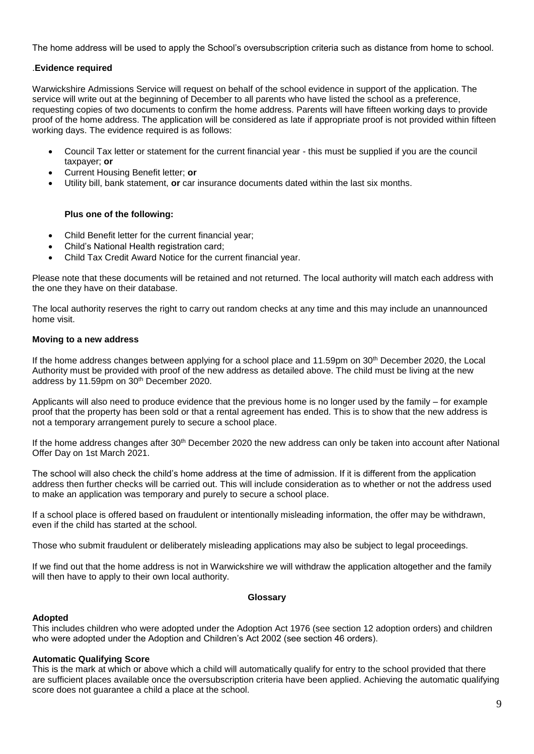The home address will be used to apply the School's oversubscription criteria such as distance from home to school.

# .**Evidence required**

Warwickshire Admissions Service will request on behalf of the school evidence in support of the application. The service will write out at the beginning of December to all parents who have listed the school as a preference, requesting copies of two documents to confirm the home address. Parents will have fifteen working days to provide proof of the home address. The application will be considered as late if appropriate proof is not provided within fifteen working days. The evidence required is as follows:

- Council Tax letter or statement for the current financial year this must be supplied if you are the council taxpayer; **or**
- Current Housing Benefit letter; **or**
- Utility bill, bank statement, **or** car insurance documents dated within the last six months.

# **Plus one of the following:**

- Child Benefit letter for the current financial year;
- Child's National Health registration card;
- Child Tax Credit Award Notice for the current financial year.

Please note that these documents will be retained and not returned. The local authority will match each address with the one they have on their database.

The local authority reserves the right to carry out random checks at any time and this may include an unannounced home visit.

## **Moving to a new address**

If the home address changes between applying for a school place and 11.59pm on 30<sup>th</sup> December 2020, the Local Authority must be provided with proof of the new address as detailed above. The child must be living at the new address by 11.59pm on 30th December 2020.

Applicants will also need to produce evidence that the previous home is no longer used by the family – for example proof that the property has been sold or that a rental agreement has ended. This is to show that the new address is not a temporary arrangement purely to secure a school place.

If the home address changes after 30<sup>th</sup> December 2020 the new address can only be taken into account after National Offer Day on 1st March 2021.

The school will also check the child's home address at the time of admission. If it is different from the application address then further checks will be carried out. This will include consideration as to whether or not the address used to make an application was temporary and purely to secure a school place.

If a school place is offered based on fraudulent or intentionally misleading information, the offer may be withdrawn, even if the child has started at the school.

Those who submit fraudulent or deliberately misleading applications may also be subject to legal proceedings.

If we find out that the home address is not in Warwickshire we will withdraw the application altogether and the family will then have to apply to their own local authority.

#### **Glossary**

## **Adopted**

This includes children who were adopted under the Adoption Act 1976 (see section 12 adoption orders) and children who were adopted under the Adoption and Children's Act 2002 (see section 46 orders).

## **Automatic Qualifying Score**

This is the mark at which or above which a child will automatically qualify for entry to the school provided that there are sufficient places available once the oversubscription criteria have been applied. Achieving the automatic qualifying score does not guarantee a child a place at the school.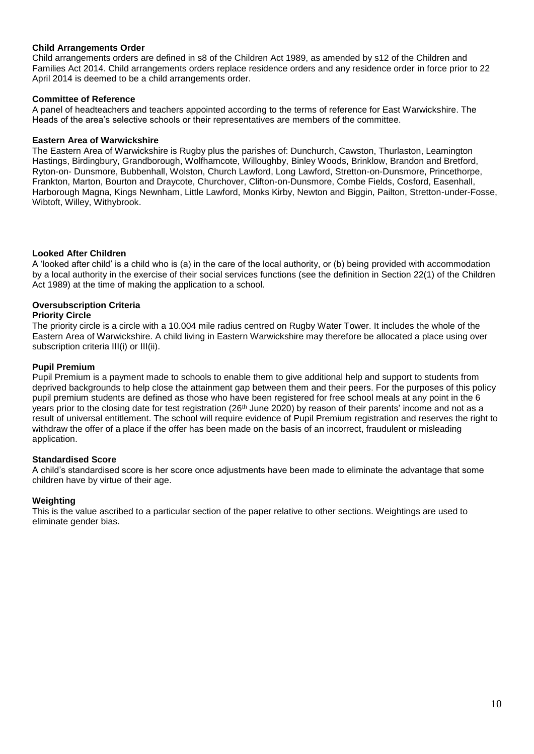### **Child Arrangements Order**

Child arrangements orders are defined in s8 of the Children Act 1989, as amended by s12 of the Children and Families Act 2014. Child arrangements orders replace residence orders and any residence order in force prior to 22 April 2014 is deemed to be a child arrangements order.

### **Committee of Reference**

A panel of headteachers and teachers appointed according to the terms of reference for East Warwickshire. The Heads of the area's selective schools or their representatives are members of the committee.

#### **Eastern Area of Warwickshire**

The Eastern Area of Warwickshire is Rugby plus the parishes of: Dunchurch, Cawston, Thurlaston, Leamington Hastings, Birdingbury, Grandborough, Wolfhamcote, Willoughby, Binley Woods, Brinklow, Brandon and Bretford, Ryton-on- Dunsmore, Bubbenhall, Wolston, Church Lawford, Long Lawford, Stretton-on-Dunsmore, Princethorpe, Frankton, Marton, Bourton and Draycote, Churchover, Clifton-on-Dunsmore, Combe Fields, Cosford, Easenhall, Harborough Magna, Kings Newnham, Little Lawford, Monks Kirby, Newton and Biggin, Pailton, Stretton-under-Fosse, Wibtoft, Willey, Withybrook.

## **Looked After Children**

A 'looked after child' is a child who is (a) in the care of the local authority, or (b) being provided with accommodation by a local authority in the exercise of their social services functions (see the definition in Section 22(1) of the Children Act 1989) at the time of making the application to a school.

### **Oversubscription Criteria**

### **Priority Circle**

The priority circle is a circle with a 10.004 mile radius centred on Rugby Water Tower. It includes the whole of the Eastern Area of Warwickshire. A child living in Eastern Warwickshire may therefore be allocated a place using over subscription criteria III(i) or III(ii).

### **Pupil Premium**

Pupil Premium is a payment made to schools to enable them to give additional help and support to students from deprived backgrounds to help close the attainment gap between them and their peers. For the purposes of this policy pupil premium students are defined as those who have been registered for free school meals at any point in the 6 years prior to the closing date for test registration (26<sup>th</sup> June 2020) by reason of their parents' income and not as a result of universal entitlement. The school will require evidence of Pupil Premium registration and reserves the right to withdraw the offer of a place if the offer has been made on the basis of an incorrect, fraudulent or misleading application.

#### **Standardised Score**

A child's standardised score is her score once adjustments have been made to eliminate the advantage that some children have by virtue of their age.

#### **Weighting**

This is the value ascribed to a particular section of the paper relative to other sections. Weightings are used to eliminate gender bias.